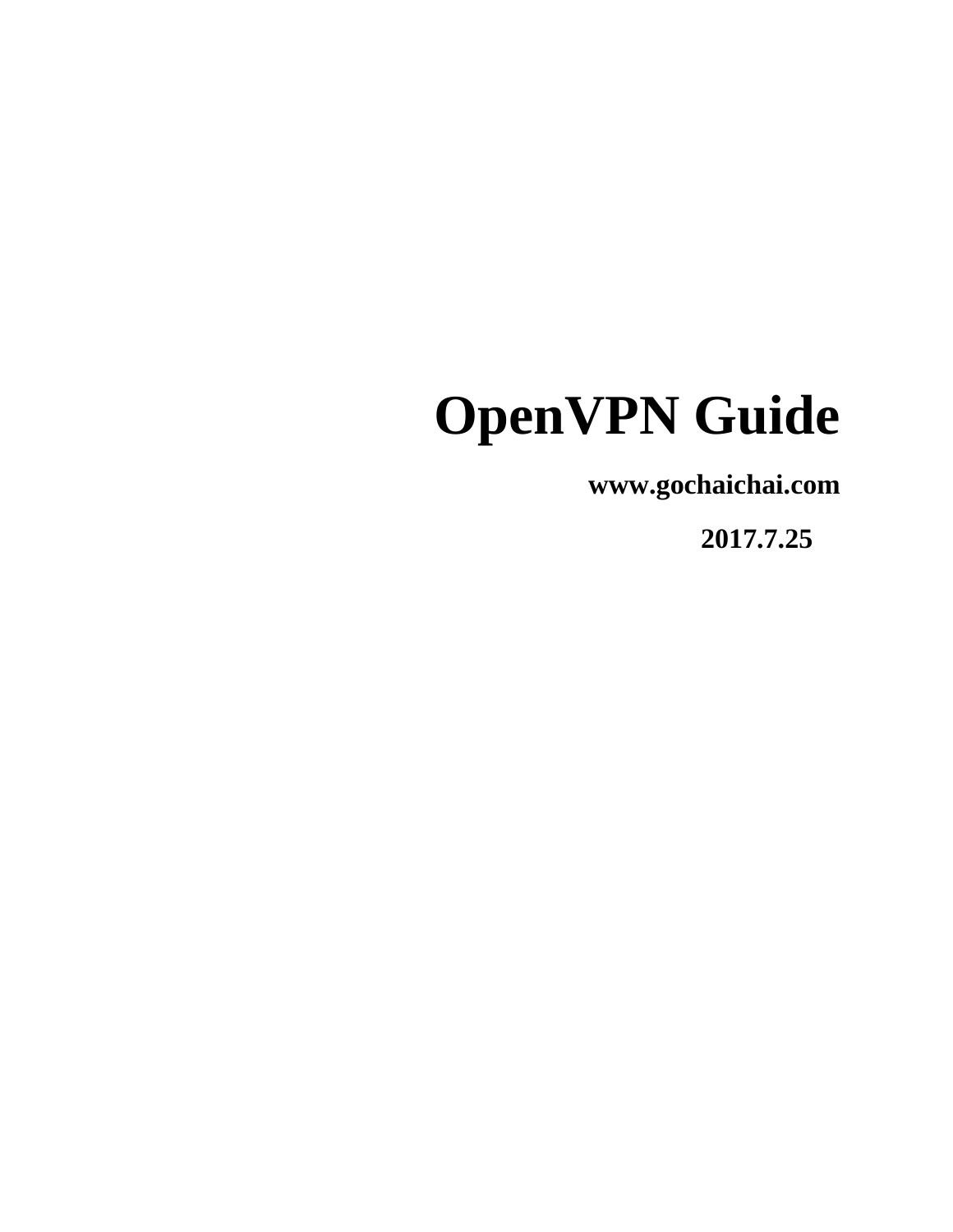# **OpenVPN Guide**

**www.gochaichai.com**

 **2017.7.25**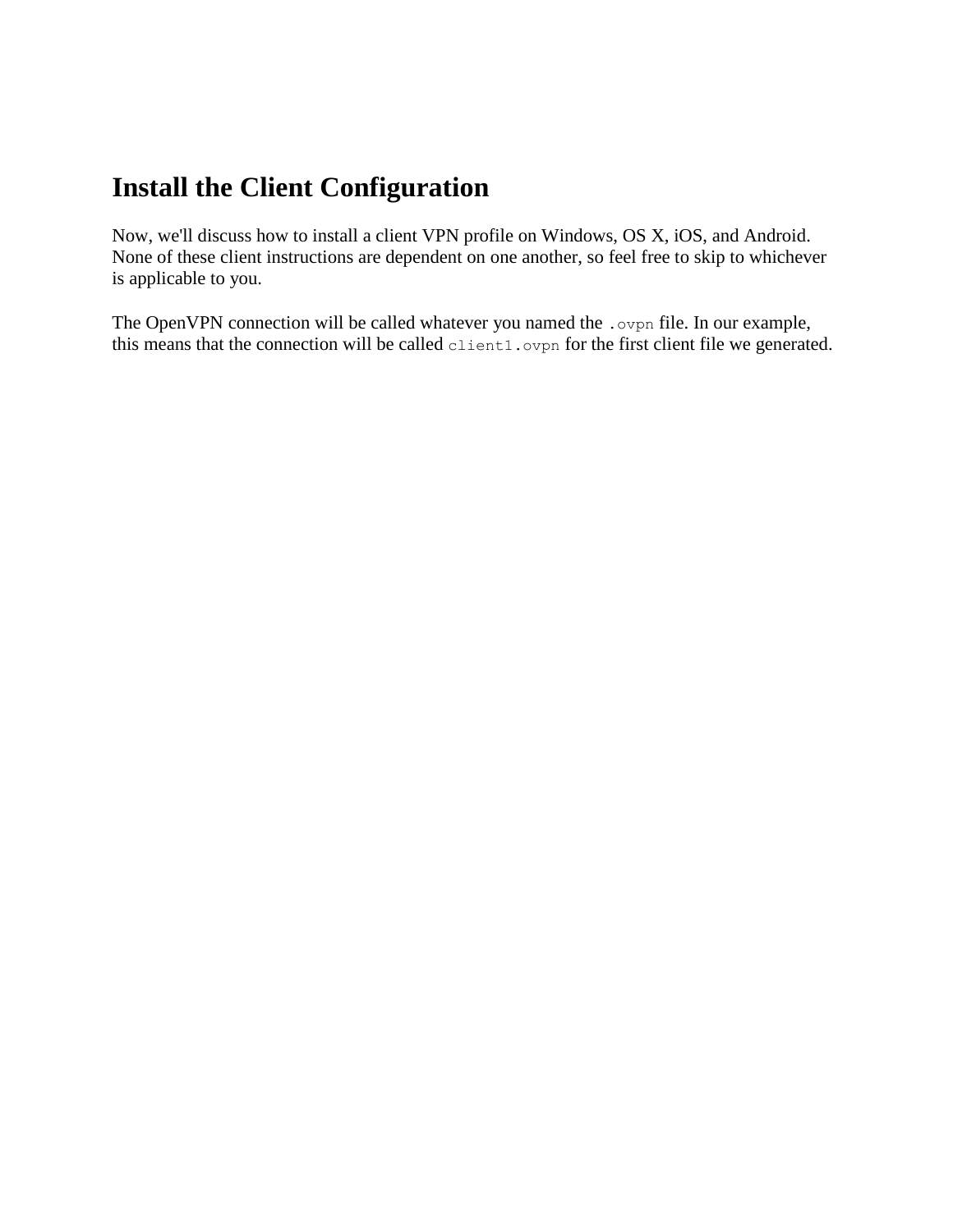# **Install the Client Configuration**

Now, we'll discuss how to install a client VPN profile on Windows, OS X, iOS, and Android. None of these client instructions are dependent on one another, so feel free to skip to whichever is applicable to you.

The OpenVPN connection will be called whatever you named the . ovpn file. In our example, this means that the connection will be called client1.ovpn for the first client file we generated.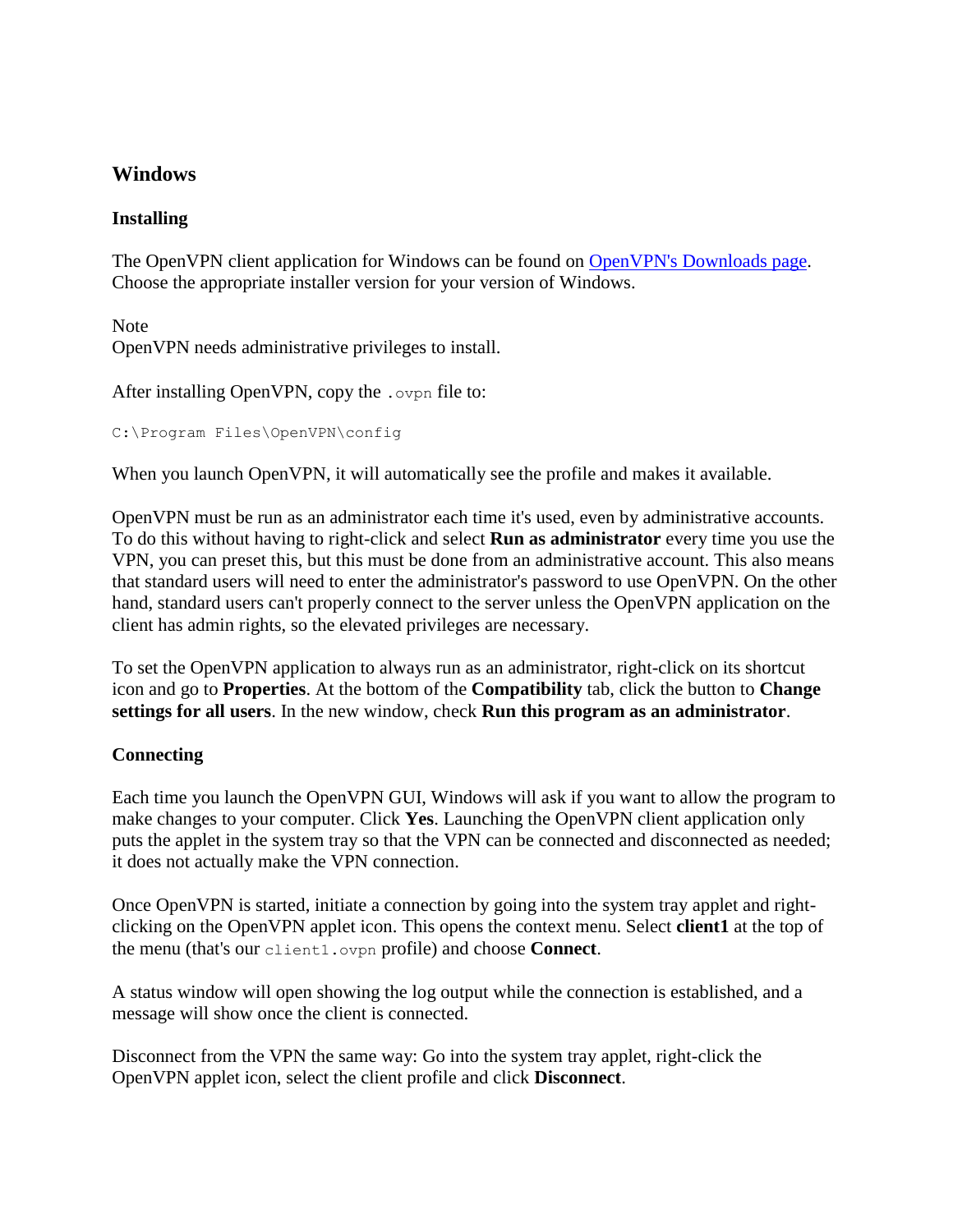## **Windows**

#### **Installing**

The OpenVPN client application for Windows can be found on [OpenVPN's Downloads page.](https://openvpn.net/index.php/open-source/downloads.html) Choose the appropriate installer version for your version of Windows.

Note OpenVPN needs administrative privileges to install.

```
After installing OpenVPN, copy the .ovpn file to:
```

```
C:\Program Files\OpenVPN\config
```
When you launch OpenVPN, it will automatically see the profile and makes it available.

OpenVPN must be run as an administrator each time it's used, even by administrative accounts. To do this without having to right-click and select **Run as administrator** every time you use the VPN, you can preset this, but this must be done from an administrative account. This also means that standard users will need to enter the administrator's password to use OpenVPN. On the other hand, standard users can't properly connect to the server unless the OpenVPN application on the client has admin rights, so the elevated privileges are necessary.

To set the OpenVPN application to always run as an administrator, right-click on its shortcut icon and go to **Properties**. At the bottom of the **Compatibility** tab, click the button to **Change settings for all users**. In the new window, check **Run this program as an administrator**.

#### **Connecting**

Each time you launch the OpenVPN GUI, Windows will ask if you want to allow the program to make changes to your computer. Click **Yes**. Launching the OpenVPN client application only puts the applet in the system tray so that the VPN can be connected and disconnected as needed; it does not actually make the VPN connection.

Once OpenVPN is started, initiate a connection by going into the system tray applet and rightclicking on the OpenVPN applet icon. This opens the context menu. Select **client1** at the top of the menu (that's our client1.ovpn profile) and choose **Connect**.

A status window will open showing the log output while the connection is established, and a message will show once the client is connected.

Disconnect from the VPN the same way: Go into the system tray applet, right-click the OpenVPN applet icon, select the client profile and click **Disconnect**.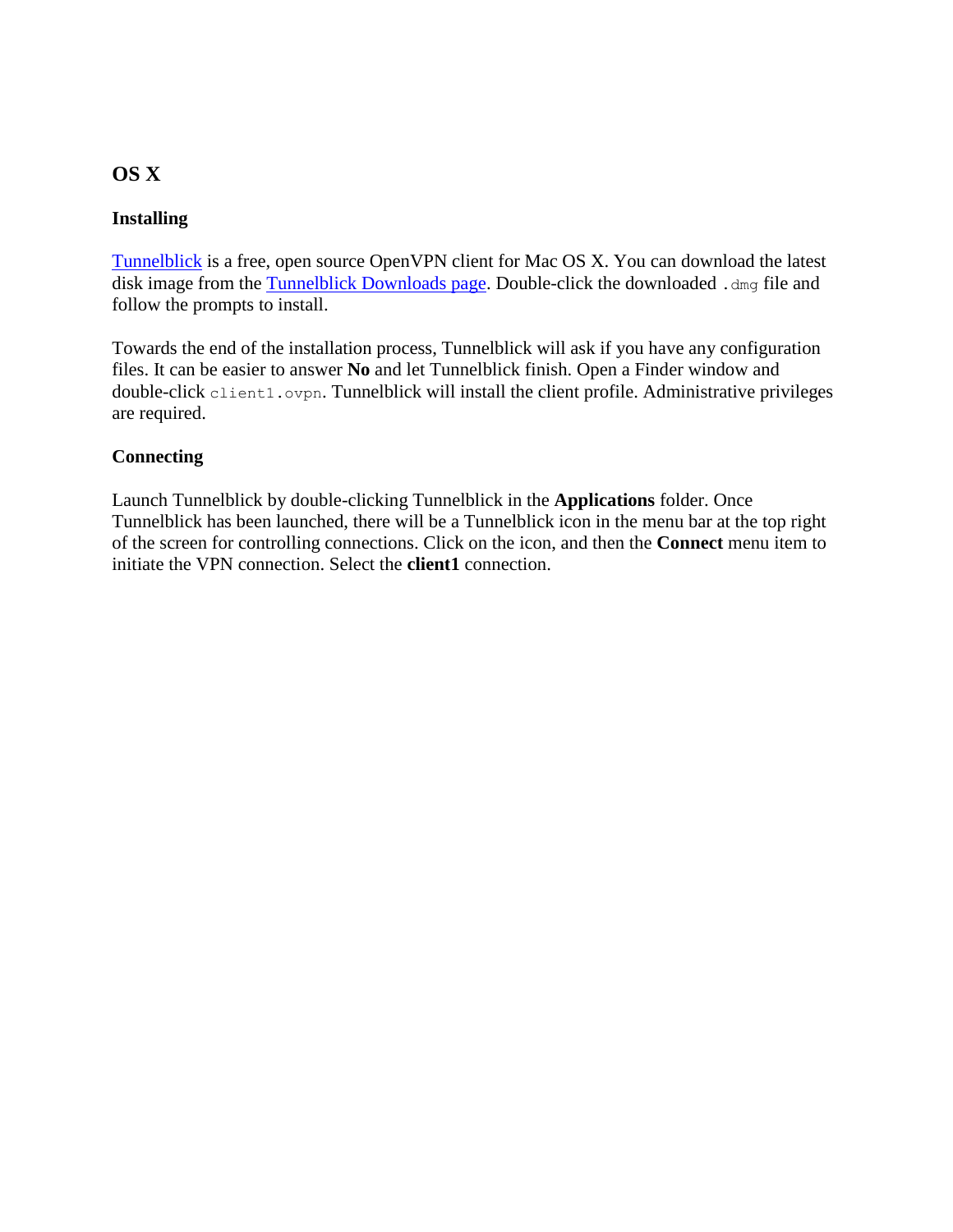# **OS X**

#### **Installing**

[Tunnelblick](https://tunnelblick.net/) is a free, open source OpenVPN client for Mac OS X. You can download the latest disk image from the [Tunnelblick Downloads page.](https://tunnelblick.net/downloads.html) Double-click the downloaded .dmg file and follow the prompts to install.

Towards the end of the installation process, Tunnelblick will ask if you have any configuration files. It can be easier to answer **No** and let Tunnelblick finish. Open a Finder window and double-click client1.ovpn. Tunnelblick will install the client profile. Administrative privileges are required.

#### **Connecting**

Launch Tunnelblick by double-clicking Tunnelblick in the **Applications** folder. Once Tunnelblick has been launched, there will be a Tunnelblick icon in the menu bar at the top right of the screen for controlling connections. Click on the icon, and then the **Connect** menu item to initiate the VPN connection. Select the **client1** connection.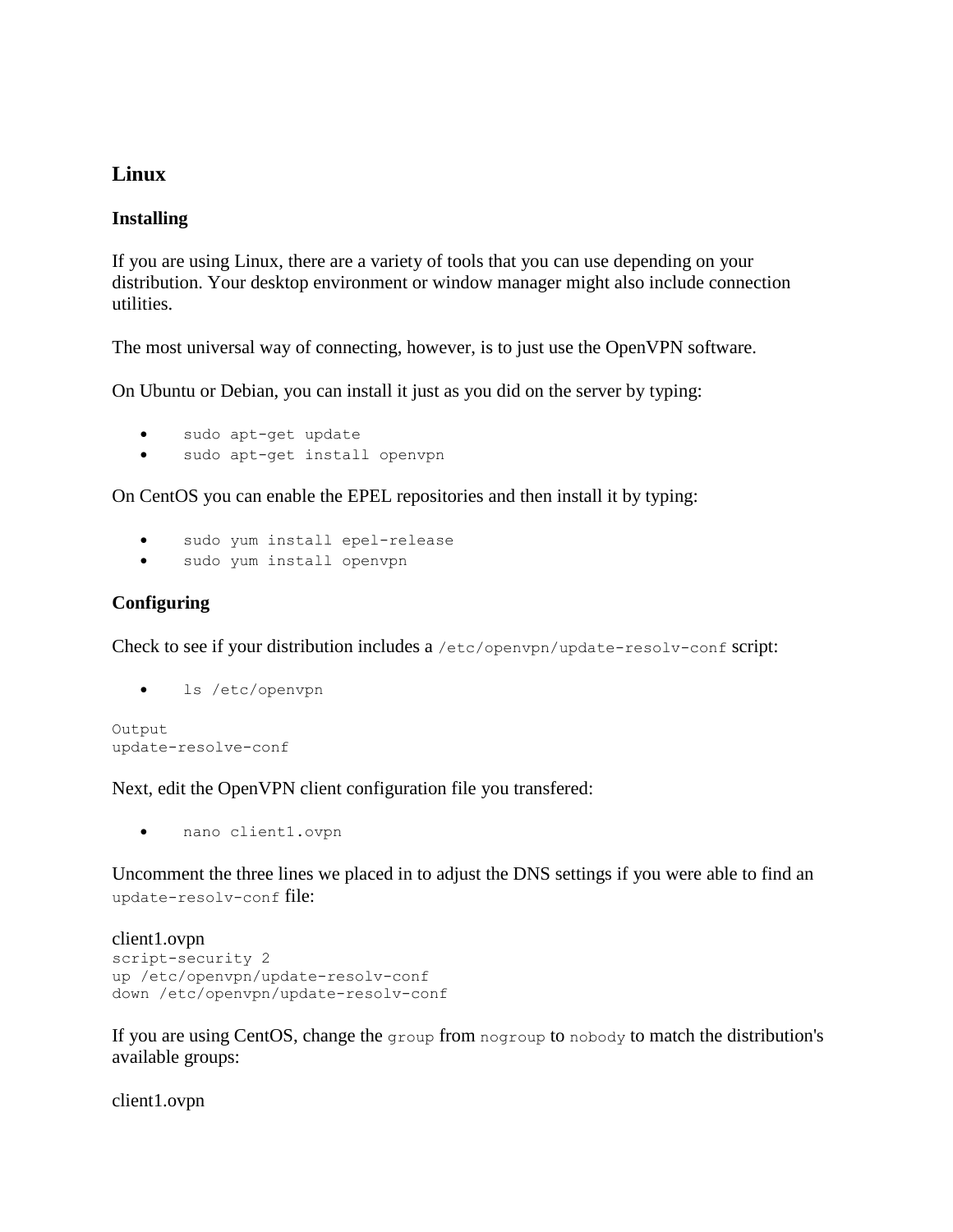## **Linux**

#### **Installing**

If you are using Linux, there are a variety of tools that you can use depending on your distribution. Your desktop environment or window manager might also include connection utilities.

The most universal way of connecting, however, is to just use the OpenVPN software.

On Ubuntu or Debian, you can install it just as you did on the server by typing:

- sudo apt-get update
- sudo apt-get install openvpn

On CentOS you can enable the EPEL repositories and then install it by typing:

- sudo yum install epel-release
- sudo yum install openvpn

#### **Configuring**

Check to see if your distribution includes a /etc/openvpn/update-resolv-conf script:

ls /etc/openvpn

```
Output
update-resolve-conf
```
Next, edit the OpenVPN client configuration file you transfered:

nano client1.ovpn

Uncomment the three lines we placed in to adjust the DNS settings if you were able to find an update-resolv-conf file:

```
client1.ovpn
script-security 2
up /etc/openvpn/update-resolv-conf
down /etc/openvpn/update-resolv-conf
```
If you are using CentOS, change the group from nogroup to nobody to match the distribution's available groups:

client1.ovpn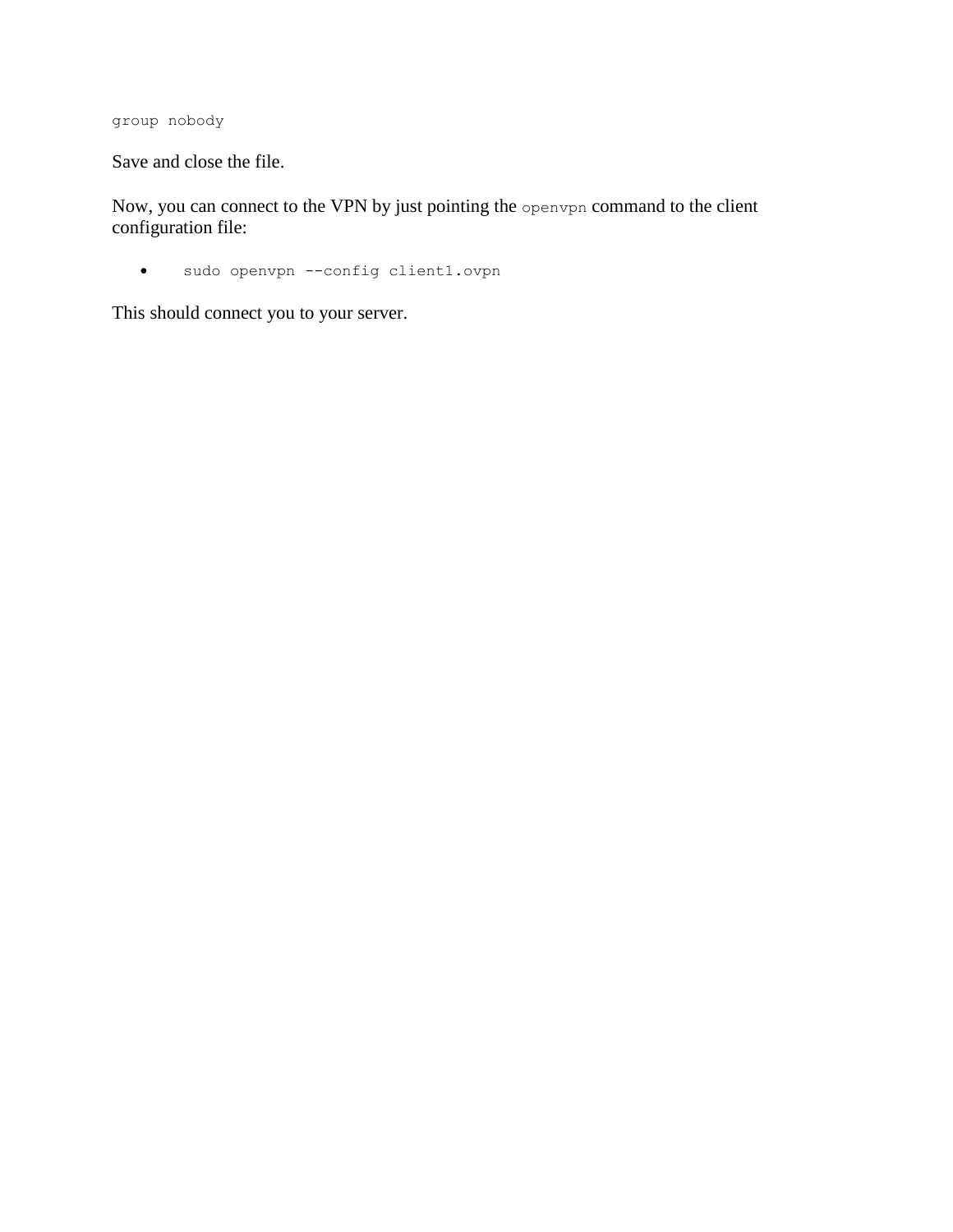group nobody

Save and close the file.

Now, you can connect to the VPN by just pointing the openvpn command to the client configuration file:

sudo openvpn --config client1.ovpn

This should connect you to your server.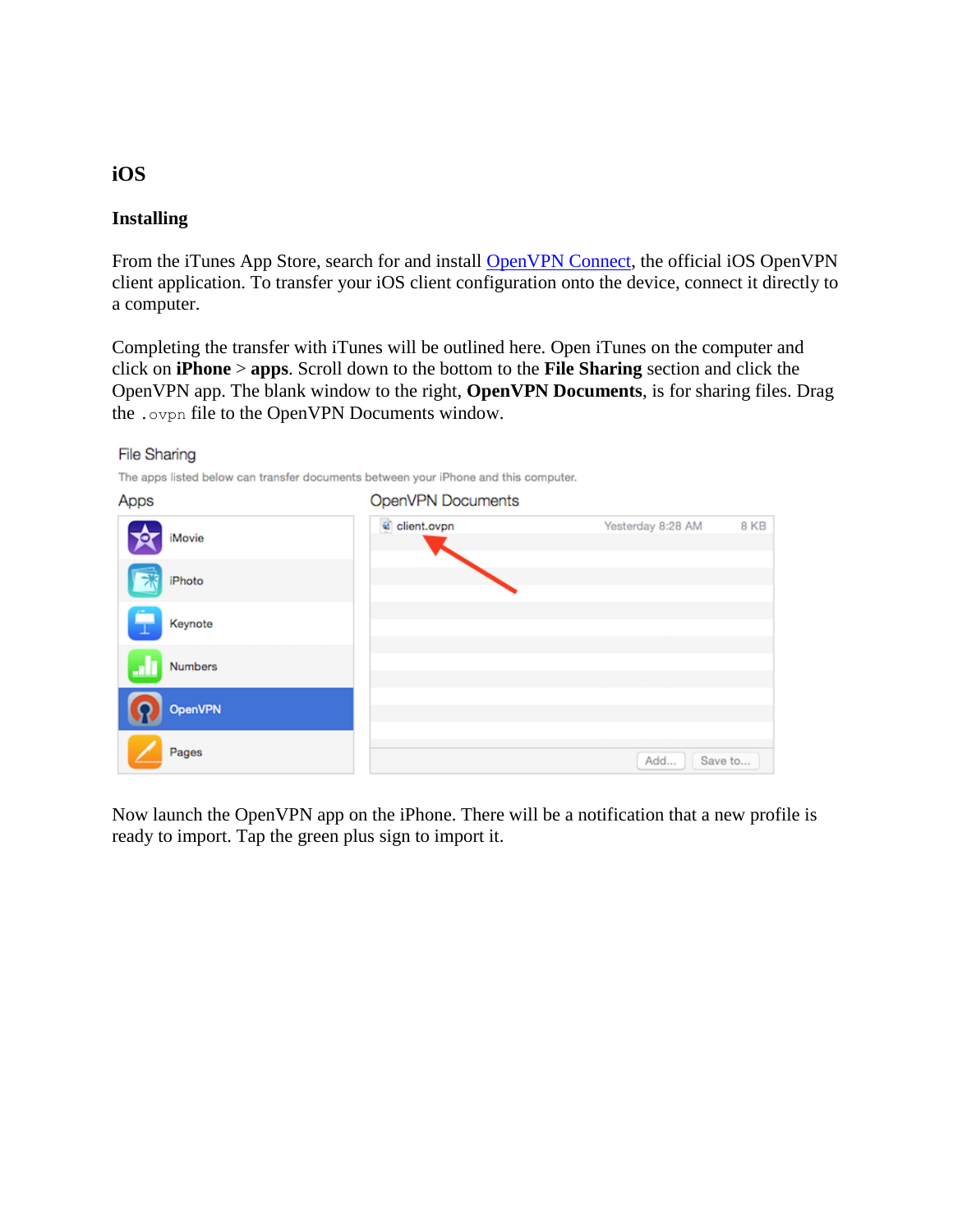# **iOS**

#### **Installing**

**File Sharing** 

From the iTunes App Store, search for and install [OpenVPN Connect,](https://itunes.apple.com/us/app/id590379981) the official iOS OpenVPN client application. To transfer your iOS client configuration onto the device, connect it directly to a computer.

Completing the transfer with iTunes will be outlined here. Open iTunes on the computer and click on **iPhone** > **apps**. Scroll down to the bottom to the **File Sharing** section and click the OpenVPN app. The blank window to the right, **OpenVPN Documents**, is for sharing files. Drag the .ovpn file to the OpenVPN Documents window.

| Apps           | OpenVPN Documents |                   |      |
|----------------|-------------------|-------------------|------|
| iMovie         | client.ovpn       | Yesterday 8:28 AM | 8 KB |
| iPhoto         |                   |                   |      |
| Keynote        |                   |                   |      |
| <b>Numbers</b> |                   |                   |      |
| <b>OpenVPN</b> |                   |                   |      |
| Pages          |                   | Save to<br>Add    |      |

Now launch the OpenVPN app on the iPhone. There will be a notification that a new profile is ready to import. Tap the green plus sign to import it.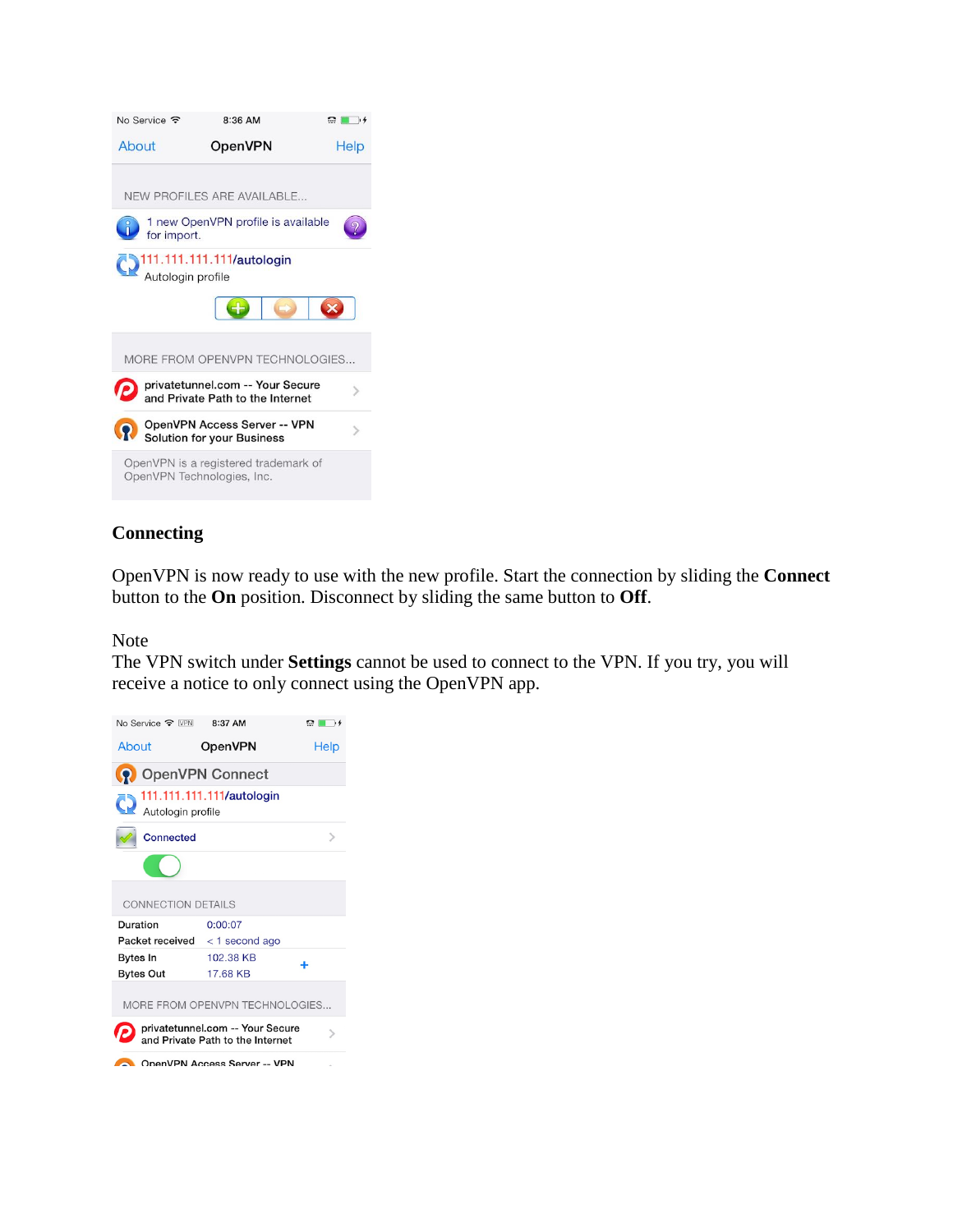

#### **Connecting**

OpenVPN is now ready to use with the new profile. Start the connection by sliding the **Connect** button to the **On** position. Disconnect by sliding the same button to **Off**.

Note

The VPN switch under **Settings** cannot be used to connect to the VPN. If you try, you will receive a notice to only connect using the OpenVPN app.

| No Service $\widehat{\mathbb{R}}$ VPN 8:37 AM                        |                              | $\Omega$ in $\rightarrow$ |  |  |
|----------------------------------------------------------------------|------------------------------|---------------------------|--|--|
| About                                                                | OpenVPN                      | Help                      |  |  |
| <b>Q</b> OpenVPN Connect                                             |                              |                           |  |  |
| 111.111.111.111/autologin<br>Autologin profile                       |                              |                           |  |  |
| <b>Connected</b>                                                     |                              |                           |  |  |
|                                                                      |                              |                           |  |  |
| <b>CONNECTION DETAILS</b>                                            |                              |                           |  |  |
| Duration                                                             | 0:00:07                      |                           |  |  |
| Packet received $\langle$ 1 second ago                               |                              |                           |  |  |
| <b>Bytes In</b>                                                      | 102.38 KB                    | ÷                         |  |  |
| <b>Bytes Out</b>                                                     | 17.68 KB                     |                           |  |  |
| MORE FROM OPENVPN TECHNOLOGIES                                       |                              |                           |  |  |
| privatetunnel.com -- Your Secure<br>and Private Path to the Internet |                              |                           |  |  |
|                                                                      | OpenVPN Access Server -- VPN |                           |  |  |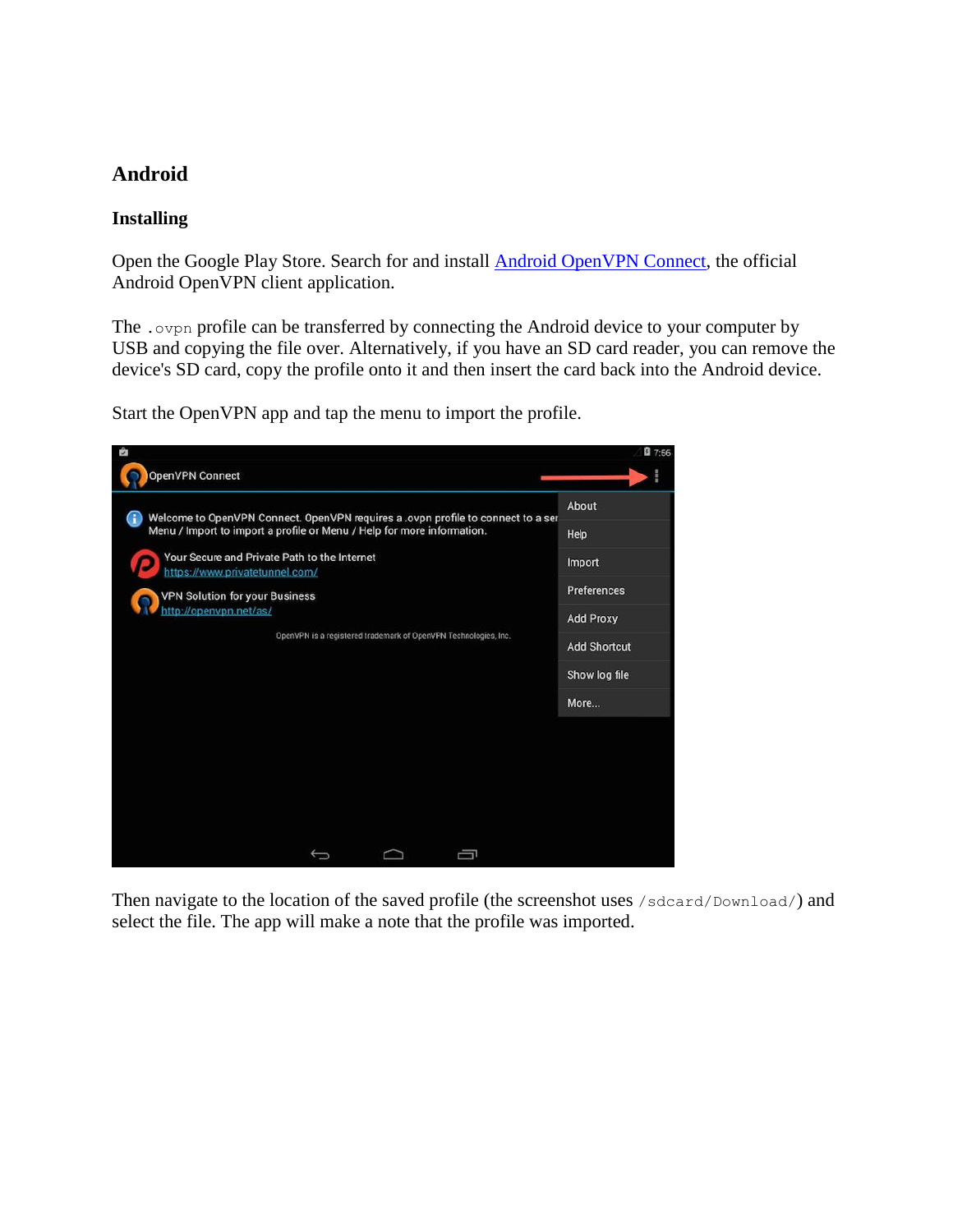# **Android**

#### **Installing**

Open the Google Play Store. Search for and install [Android OpenVPN Connect,](https://play.google.com/store/apps/details?id=net.openvpn.openvpn) the official Android OpenVPN client application.

The .ovpn profile can be transferred by connecting the Android device to your computer by USB and copying the file over. Alternatively, if you have an SD card reader, you can remove the device's SD card, copy the profile onto it and then insert the card back into the Android device.

Start the OpenVPN app and tap the menu to import the profile.



Then navigate to the location of the saved profile (the screenshot uses /sdcard/Download/) and select the file. The app will make a note that the profile was imported.